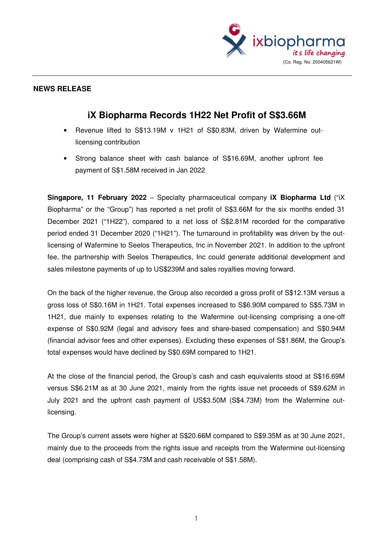

## **NEWS RELEASE**

## **iX Biopharma Records 1H22 Net Profit of S\$3.66M**

\_\_\_\_\_\_\_\_\_\_\_\_\_\_\_\_\_\_\_\_\_\_\_\_\_\_\_\_\_\_\_\_\_\_\_\_\_\_\_\_\_\_\_\_\_\_\_\_\_\_\_\_\_\_\_\_\_\_\_\_\_\_\_\_\_\_\_\_\_\_\_\_\_\_\_\_\_\_\_\_\_\_\_\_\_\_\_\_\_\_\_\_\_\_\_\_\_

- Revenue lifted to S\$13.19M v 1H21 of S\$0.83M, driven by Wafermine outlicensing contribution
- Strong balance sheet with cash balance of S\$16.69M, another upfront fee payment of S\$1.58M received in Jan 2022

**Singapore, 11 February 2022** – Specialty pharmaceutical company **iX Biopharma Ltd** ("iX Biopharma" or the "Group") has reported a net profit of S\$3.66M for the six months ended 31 December 2021 ("1H22"), compared to a net loss of S\$2.81M recorded for the comparative period ended 31 December 2020 ("1H21"). The turnaround in profitability was driven by the outlicensing of Wafermine to Seelos Therapeutics, Inc in November 2021. In addition to the upfront fee, the partnership with Seelos Therapeutics, Inc could generate additional development and sales milestone payments of up to US\$239M and sales royalties moving forward.

On the back of the higher revenue, the Group also recorded a gross profit of S\$12.13M versus a gross loss of S\$0.16M in 1H21. Total expenses increased to S\$6.90M compared to S\$5.73M in 1H21, due mainly to expenses relating to the Wafermine out-licensing comprising a one-off expense of S\$0.92M (legal and advisory fees and share-based compensation) and S\$0.94M (financial advisor fees and other expenses). Excluding these expenses of S\$1.86M, the Group's total expenses would have declined by S\$0.69M compared to 1H21.

At the close of the financial period, the Group's cash and cash equivalents stood at S\$16.69M versus S\$6.21M as at 30 June 2021, mainly from the rights issue net proceeds of S\$9.62M in July 2021 and the upfront cash payment of US\$3.50M (S\$4.73M) from the Wafermine outlicensing.

The Group's current assets were higher at S\$20.66M compared to S\$9.35M as at 30 June 2021, mainly due to the proceeds from the rights issue and receipts from the Wafermine out-licensing deal (comprising cash of S\$4.73M and cash receivable of S\$1.58M).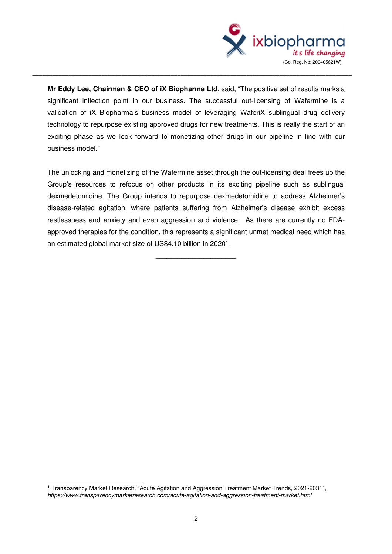

**Mr Eddy Lee, Chairman & CEO of iX Biopharma Ltd**, said, "The positive set of results marks a significant inflection point in our business. The successful out-licensing of Wafermine is a validation of iX Biopharma's business model of leveraging WaferiX sublingual drug delivery technology to repurpose existing approved drugs for new treatments. This is really the start of an exciting phase as we look forward to monetizing other drugs in our pipeline in line with our business model."

\_\_\_\_\_\_\_\_\_\_\_\_\_\_\_\_\_\_\_\_\_\_\_\_\_\_\_\_\_\_\_\_\_\_\_\_\_\_\_\_\_\_\_\_\_\_\_\_\_\_\_\_\_\_\_\_\_\_\_\_\_\_\_\_\_\_\_\_\_\_\_\_\_\_\_\_\_\_\_\_\_\_\_\_\_\_\_\_\_\_\_\_\_\_\_\_\_

The unlocking and monetizing of the Wafermine asset through the out-licensing deal frees up the Group's resources to refocus on other products in its exciting pipeline such as sublingual dexmedetomidine. The Group intends to repurpose dexmedetomidine to address Alzheimer's disease-related agitation, where patients suffering from Alzheimer's disease exhibit excess restlessness and anxiety and even aggression and violence. As there are currently no FDAapproved therapies for the condition, this represents a significant unmet medical need which has an estimated global market size of US\$4.10 billion in 2020<sup>1</sup>.

 $\overline{\phantom{a}}$  , we can assume that the contract of  $\overline{\phantom{a}}$ 

<sup>1</sup> Transparency Market Research, "Acute Agitation and Aggression Treatment Market Trends, 2021-2031", *https://www.transparencymarketresearch.com/acute-agitation-and-aggression-treatment-market.html*